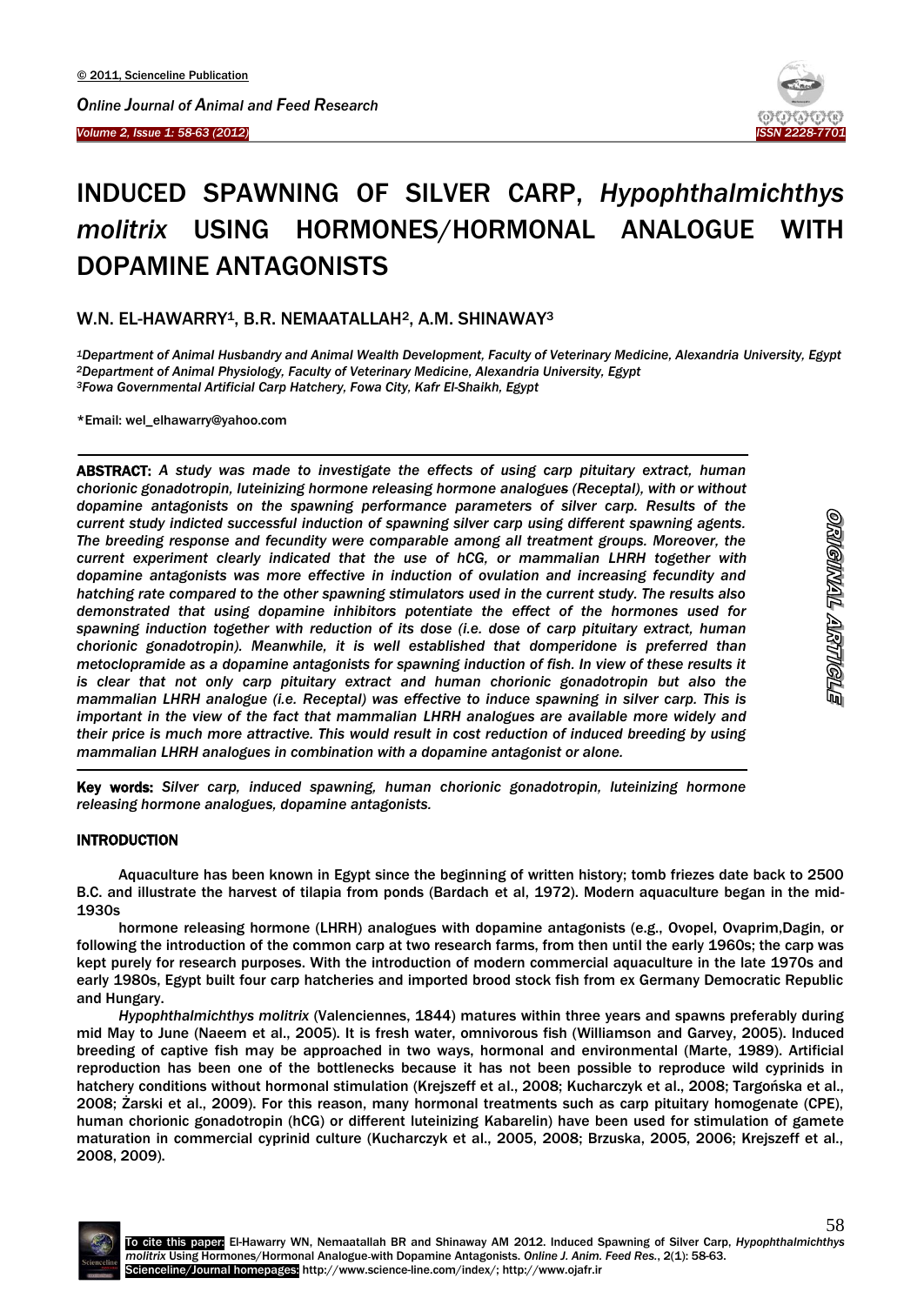

# INDUCED SPAWNING OF SILVER CARP, *Hypophthalmichthys molitrix* USING HORMONES/HORMONAL ANALOGUE WITH DOPAMINE ANTAGONISTS

# W.N. EL-HAWARRY<sup>1</sup>, B.R. NEMAATALLAH<sup>2</sup>, A.M. SHINAWAY<sup>3</sup>

*<sup>1</sup>Department of Animal Husbandry and Animal Wealth Development, Faculty of Veterinary Medicine, Alexandria University, Egypt <sup>2</sup>Department of Animal Physiology, Faculty of Veterinary Medicine, Alexandria University, Egypt <sup>3</sup>Fowa Governmental Artificial Carp Hatchery, Fowa City, Kafr El-Shaikh, Egypt*

\*Email: wel\_elhawarry@yahoo.com

 $\overline{\phantom{a}}$ 

ABSTRACT: *A study was made to investigate the effects of using carp pituitary extract, human chorionic gonadotropin, luteinizing hormone releasing hormone analogues (Receptal), with or without dopamine antagonists on the spawning performance parameters of silver carp. Results of the current study indicted successful induction of spawning silver carp using different spawning agents. The breeding response and fecundity were comparable among all treatment groups. Moreover, the current experiment clearly indicated that the use of hCG, or mammalian LHRH together with dopamine antagonists was more effective in induction of ovulation and increasing fecundity and hatching rate compared to the other spawning stimulators used in the current study. The results also demonstrated that using dopamine inhibitors potentiate the effect of the hormones used for spawning induction together with reduction of its dose (i.e. dose of carp pituitary extract, human chorionic gonadotropin). Meanwhile, it is well established that domperidone is preferred than metoclopramide as a dopamine antagonists for spawning induction of fish. In view of these results it is clear that not only carp pituitary extract and human chorionic gonadotropin but also the mammalian LHRH analogue (i.e. Receptal) was effective to induce spawning in silver carp. This is important in the view of the fact that mammalian LHRH analogues are available more widely and their price is much more attractive. This would result in cost reduction of induced breeding by using mammalian LHRH analogues in combination with a dopamine antagonist or alone.* 

Key words: *Silver carp, induced spawning, human chorionic gonadotropin, luteinizing hormone releasing hormone analogues, dopamine antagonists.*

# **INTRODUCTION**

 $\overline{a}$ 

Aquaculture has been known in Egypt since the beginning of written history; tomb friezes date back to 2500 B.C. and illustrate the harvest of tilapia from ponds (Bardach et al, 1972). Modern aquaculture began in the mid-1930s

hormone releasing hormone (LHRH) analogues with dopamine antagonists (e.g., Ovopel, Ovaprim,Dagin, or following the introduction of the common carp at two research farms, from then until the early 1960s; the carp was kept purely for research purposes. With the introduction of modern commercial aquaculture in the late 1970s and early 1980s, Egypt built four carp hatcheries and imported brood stock fish from ex Germany Democratic Republic and Hungary.

*Hypophthalmichthys molitrix* (Valenciennes, 1844) matures within three years and spawns preferably during mid May to June (Naeem et al., 2005). It is fresh water, omnivorous fish (Williamson and Garvey, 2005). Induced breeding of captive fish may be approached in two ways, hormonal and environmental (Marte, 1989). Artificial reproduction has been one of the bottlenecks because it has not been possible to reproduce wild cyprinids in hatchery conditions without hormonal stimulation (Krejszeff et al., 2008; Kucharczyk et al., 2008; Targońska et al., 2008; Żarski et al., 2009). For this reason, many hormonal treatments such as carp pituitary homogenate (CPE), human chorionic gonadotropin (hCG) or different luteinizing Kabarelin) have been used for stimulation of gamete maturation in commercial cyprinid culture (Kucharczyk et al., 2005, 2008; Brzuska, 2005, 2006; Krejszeff et al., 2008, 2009).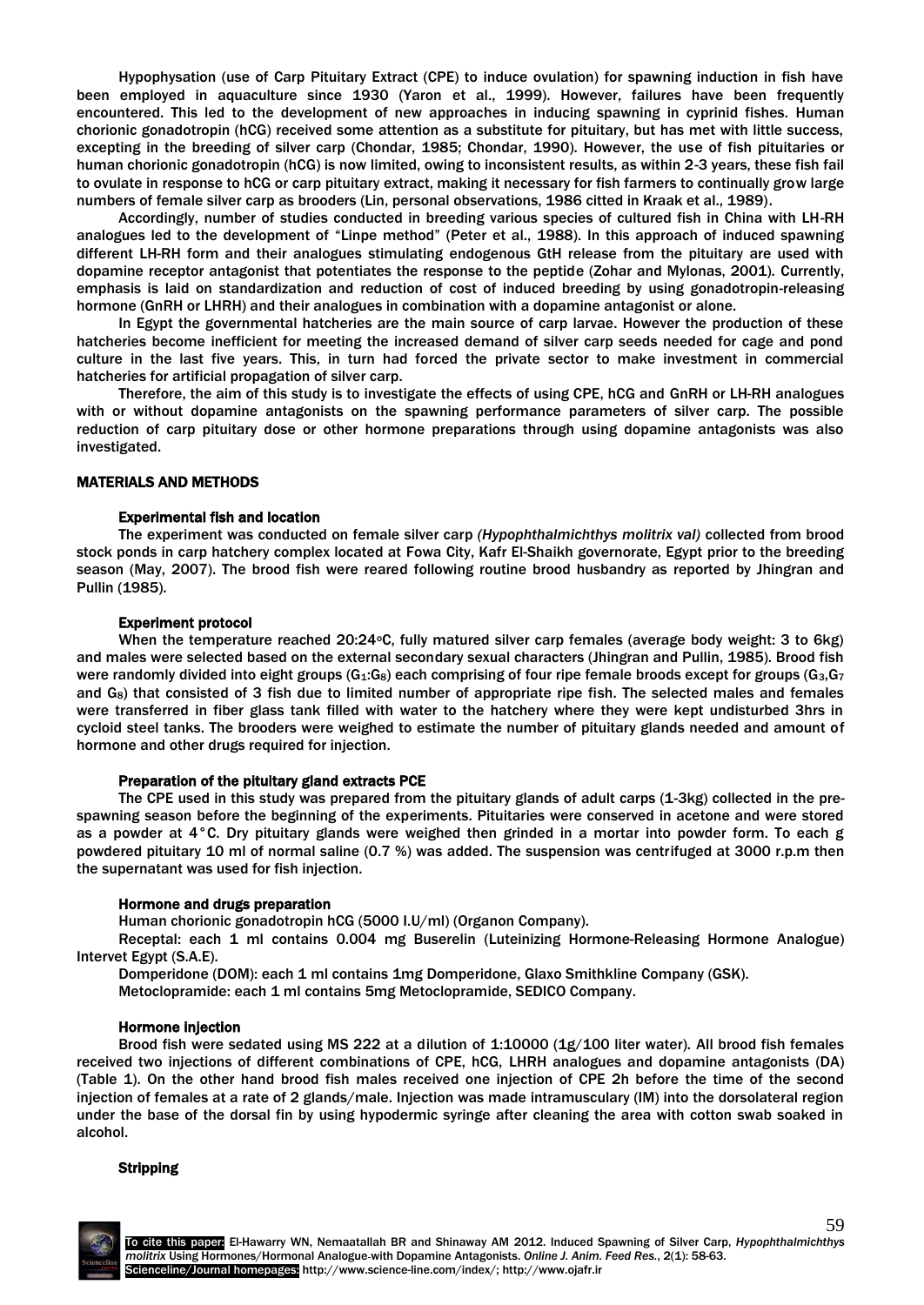Hypophysation (use of Carp Pituitary Extract (CPE) to induce ovulation) for spawning induction in fish have been employed in aquaculture since 1930 (Yaron et al., 1999). However, failures have been frequently encountered. This led to the development of new approaches in inducing spawning in cyprinid fishes. Human chorionic gonadotropin (hCG) received some attention as a substitute for pituitary, but has met with little success, excepting in the breeding of silver carp (Chondar, 1985; Chondar, 1990). However, the use of fish pituitaries or human chorionic gonadotropin (hCG) is now limited, owing to inconsistent results, as within 2-3 years, these fish fail to ovulate in response to hCG or carp pituitary extract, making it necessary for fish farmers to continually grow large numbers of female silver carp as brooders (Lin, personal observations, 1986 citted in Kraak et al., 1989).

Accordingly, number of studies conducted in breeding various species of cultured fish in China with LH-RH analogues led to the development of "Linpe method" (Peter et al., 1988). In this approach of induced spawning different LH-RH form and their analogues stimulating endogenous GtH release from the pituitary are used with dopamine receptor antagonist that potentiates the response to the peptide (Zohar and Mylonas, 2001). Currently, emphasis is laid on standardization and reduction of cost of induced breeding by using gonadotropin-releasing hormone (GnRH or LHRH) and their analogues in combination with a dopamine antagonist or alone.

In Egypt the governmental hatcheries are the main source of carp larvae. However the production of these hatcheries become inefficient for meeting the increased demand of silver carp seeds needed for cage and pond culture in the last five years. This, in turn had forced the private sector to make investment in commercial hatcheries for artificial propagation of silver carp.

Therefore, the aim of this study is to investigate the effects of using CPE, hCG and GnRH or LH-RH analogues with or without dopamine antagonists on the spawning performance parameters of silver carp. The possible reduction of carp pituitary dose or other hormone preparations through using dopamine antagonists was also investigated.

# MATERIALS AND METHODS

# Experimental fish and location

The experiment was conducted on female silver carp *(Hypophthalmichthys molitrix val)* collected from brood stock ponds in carp hatchery complex located at Fowa City, Kafr El-Shaikh governorate, Egypt prior to the breeding season (May, 2007). The brood fish were reared following routine brood husbandry as reported by Jhingran and Pullin (1985).

# Experiment protocol

When the temperature reached 20:24 °C, fully matured silver carp females (average body weight: 3 to 6kg) and males were selected based on the external secondary sexual characters (Jhingran and Pullin, 1985). Brood fish were randomly divided into eight groups ( $G_1:G_8$ ) each comprising of four ripe female broods except for groups ( $G_3,G_7$ and G<sub>8</sub>) that consisted of 3 fish due to limited number of appropriate ripe fish. The selected males and females were transferred in fiber glass tank filled with water to the hatchery where they were kept undisturbed 3hrs in cycloid steel tanks. The brooders were weighed to estimate the number of pituitary glands needed and amount of hormone and other drugs required for injection.

#### Preparation of the pituitary gland extracts PCE

The CPE used in this study was prepared from the pituitary glands of adult carps (1-3kg) collected in the prespawning season before the beginning of the experiments. Pituitaries were conserved in acetone and were stored as a powder at 4°C. Dry pituitary glands were weighed then grinded in a mortar into powder form. To each g powdered pituitary 10 ml of normal saline (0.7 %) was added. The suspension was centrifuged at 3000 r.p.m then the supernatant was used for fish injection.

#### Hormone and drugs preparation

Human chorionic gonadotropin hCG (5000 I.U/ml) (Organon Company).

Receptal: each 1 ml contains 0.004 mg Buserelin (Luteinizing Hormone-Releasing Hormone Analogue) Intervet Egypt (S.A.E).

Domperidone (DOM): each 1 ml contains 1mg Domperidone, Glaxo Smithkline Company (GSK).

Metoclopramide: each 1 ml contains 5mg Metoclopramide, SEDICO Company.

#### Hormone injection

Brood fish were sedated using MS 222 at a dilution of 1:10000 (1g/100 liter water). All brood fish females received two injections of different combinations of CPE, hCG, LHRH analogues and dopamine antagonists (DA) (Table 1). On the other hand brood fish males received one injection of CPE 2h before the time of the second injection of females at a rate of 2 glands/male. Injection was made intramusculary (IM) into the dorsolateral region under the base of the dorsal fin by using hypodermic syringe after cleaning the area with cotton swab soaked in alcohol.

#### Stripping

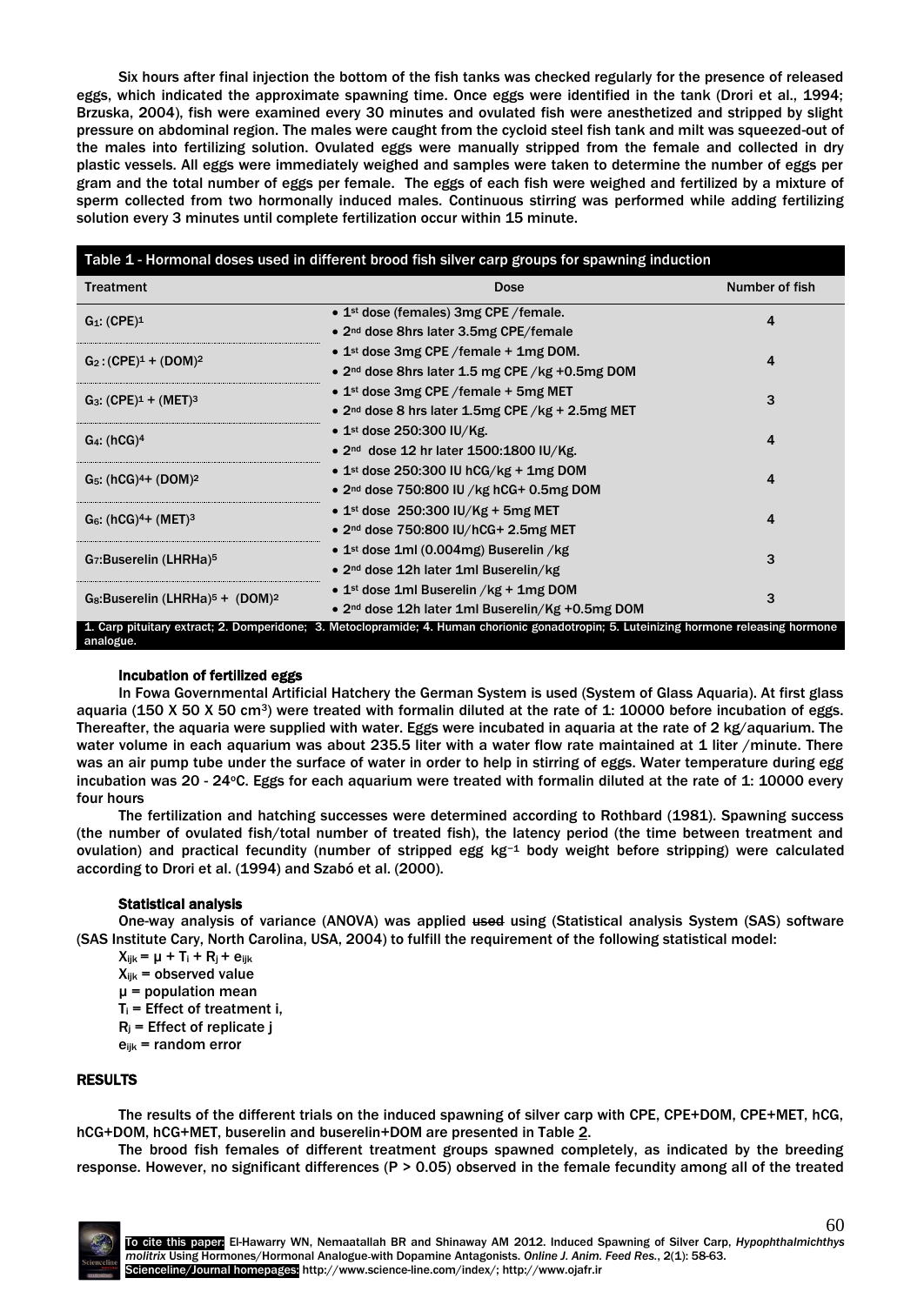Six hours after final injection the bottom of the fish tanks was checked regularly for the presence of released eggs, which indicated the approximate spawning time. Once eggs were identified in the tank (Drori et al., 1994; Brzuska, 2004), fish were examined every 30 minutes and ovulated fish were anesthetized and stripped by slight pressure on abdominal region. The males were caught from the cycloid steel fish tank and milt was squeezed-out of the males into fertilizing solution. Ovulated eggs were manually stripped from the female and collected in dry plastic vessels. All eggs were immediately weighed and samples were taken to determine the number of eggs per gram and the total number of eggs per female. The eggs of each fish were weighed and fertilized by a mixture of sperm collected from two hormonally induced males. Continuous stirring was performed while adding fertilizing solution every 3 minutes until complete fertilization occur within 15 minute.

| Table 1 - Hormonal doses used in different brood fish silver carp groups for spawning induction |                                                                                                                                         |                |  |  |  |  |  |
|-------------------------------------------------------------------------------------------------|-----------------------------------------------------------------------------------------------------------------------------------------|----------------|--|--|--|--|--|
| <b>Treatment</b>                                                                                | <b>Dose</b>                                                                                                                             | Number of fish |  |  |  |  |  |
| $G_1$ : (CPE) <sup>1</sup>                                                                      | • $1st$ dose (females) 3mg CPE / female.<br>• 2 <sup>nd</sup> dose 8hrs later 3.5mg CPE/female                                          | 4              |  |  |  |  |  |
| $G_2$ : (CPE) <sup>1</sup> + (DOM) <sup>2</sup>                                                 | • 1st dose 3mg CPE / female $+$ 1mg DOM.<br>• $2nd$ dose 8hrs later 1.5 mg CPE /kg +0.5mg DOM                                           | 4              |  |  |  |  |  |
| $G_3$ : (CPE) <sup>1</sup> + (MET) <sup>3</sup>                                                 | • $1st$ dose 3mg CPE /female + 5mg MET<br>• $2nd$ dose 8 hrs later 1.5mg CPE /kg + 2.5mg MET                                            | 3              |  |  |  |  |  |
| $G_4$ : (hCG) <sup>4</sup>                                                                      | • $1st$ dose 250:300 IU/Kg.<br>• $2nd$ dose 12 hr later 1500:1800 IU/Kg.                                                                | 4              |  |  |  |  |  |
| $G_5$ : (hCG) <sup>4</sup> + (DOM) <sup>2</sup>                                                 | • 1st dose 250:300 IU hCG/kg + 1mg DOM<br>• $2nd$ dose 750:800 IU /kg hCG+ 0.5mg DOM                                                    | 4              |  |  |  |  |  |
| $G_6$ : (hCG) <sup>4</sup> + (MET) <sup>3</sup>                                                 | • 1st dose 250:300 IU/Kg + 5mg MET<br>$\bullet$ 2 <sup>nd</sup> dose 750:800 IU/hCG+ 2.5mg MET                                          | 4              |  |  |  |  |  |
| G <sub>7</sub> :Buserelin (LHRHa) <sup>5</sup>                                                  | • $1st$ dose 1ml (0.004mg) Buserelin /kg<br>• 2 <sup>nd</sup> dose 12h later 1ml Buserelin/kg                                           | 3              |  |  |  |  |  |
| $G_8$ :Buserelin (LHRHa) <sup>5</sup> + (DOM) <sup>2</sup>                                      | • $1st$ dose 1ml Buserelin /kg + 1mg DOM<br>• 2 <sup>nd</sup> dose 12h later 1ml Buserelin/Kg +0.5mg DOM                                | 3              |  |  |  |  |  |
| analogue.                                                                                       | 1. Carp pituitary extract; 2. Domperidone; 3. Metoclopramide; 4. Human chorionic gonadotropin; 5. Luteinizing hormone releasing hormone |                |  |  |  |  |  |

#### Incubation of fertilized eggs

In Fowa Governmental Artificial Hatchery the German System is used (System of Glass Aquaria). At first glass aquaria (150 X 50 X 50 cm<sup>3</sup>) were treated with formalin diluted at the rate of 1: 10000 before incubation of eggs. Thereafter, the aquaria were supplied with water. Eggs were incubated in aquaria at the rate of 2 kg/aquarium. The water volume in each aquarium was about 235.5 liter with a water flow rate maintained at 1 liter /minute. There was an air pump tube under the surface of water in order to help in stirring of eggs. Water temperature during egg incubation was 20 - 24°C. Eggs for each aquarium were treated with formalin diluted at the rate of 1: 10000 every four hours

The fertilization and hatching successes were determined according to Rothbard (1981). Spawning success (the number of ovulated fish/total number of treated fish), the latency period (the time between treatment and ovulation) and practical fecundity (number of stripped egg kg−<sup>1</sup> body weight before stripping) were calculated according to Drori et al. (1994) and Szabó et al. (2000).

# Statistical analysis

One-way analysis of variance (ANOVA) was applied used using (Statistical analysis System (SAS) software (SAS Institute Cary, North Carolina, USA, 2004) to fulfill the requirement of the following statistical model:

- $X_{ijk} = \mu + T_i + R_j + e_{ijk}$
- $X_{ijk}$  = observed value
- $\mu$  = population mean
- $T_i$  = Effect of treatment i,
- $R_i$  = Effect of replicate j
- $e_{ijk}$  = random error

#### RESULTS

The results of the different trials on the induced spawning of silver carp with CPE, CPE+DOM, CPE+MET, hCG, hCG+DOM, hCG+MET, buserelin and buserelin+DOM are presented in Table 2.

The brood fish females of different treatment groups spawned completely, as indicated by the breeding response. However, no significant differences (P > 0.05) observed in the female fecundity among all of the treated

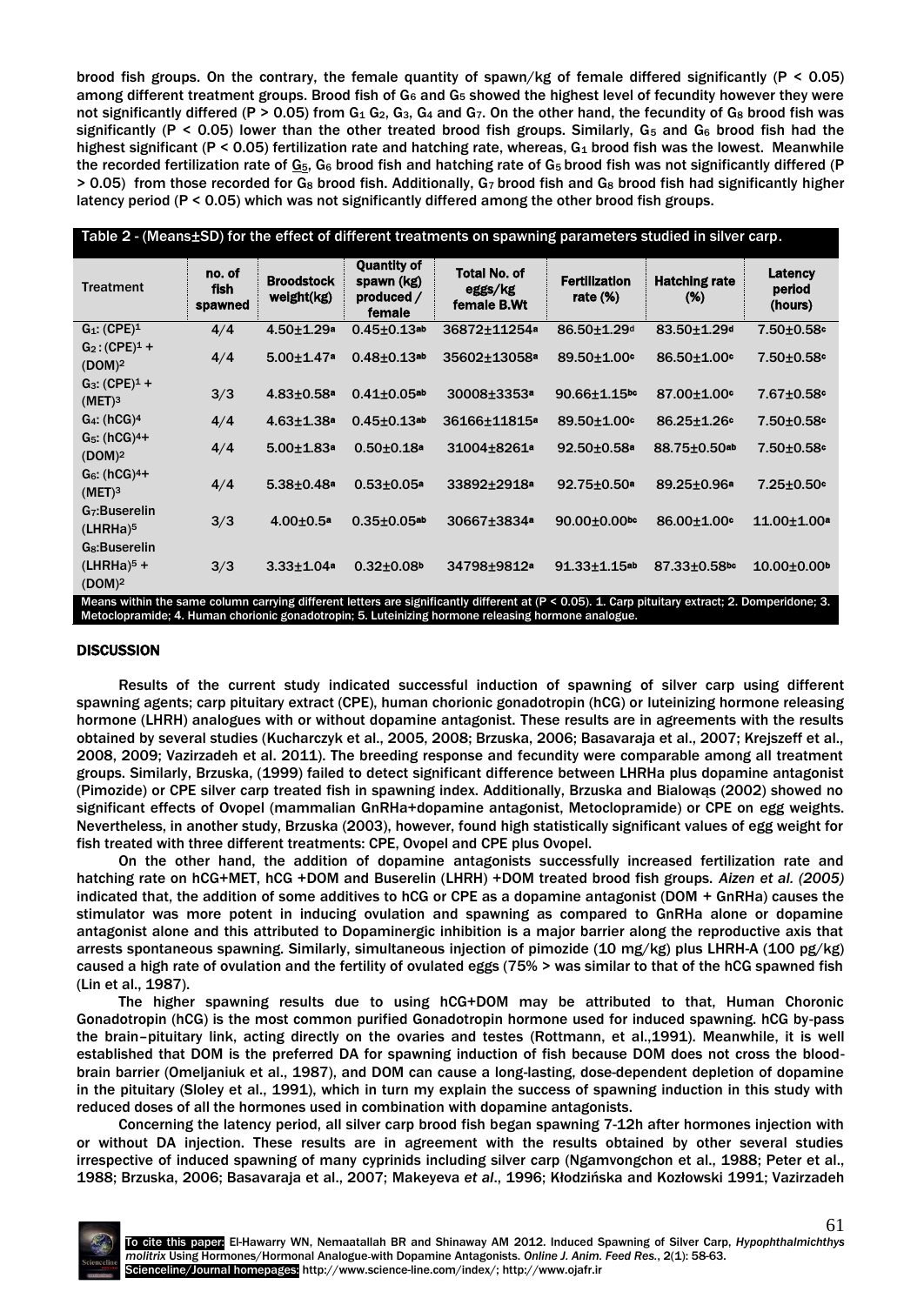brood fish groups. On the contrary, the female quantity of spawn/kg of female differed significantly ( $P < 0.05$ ) among different treatment groups. Brood fish of G<sub>6</sub> and G<sub>5</sub> showed the highest level of fecundity however they were not significantly differed (P > 0.05) from  $G_1$   $G_2$ ,  $G_3$ ,  $G_4$  and  $G_7$ . On the other hand, the fecundity of  $G_8$  brood fish was significantly (P < 0.05) lower than the other treated brood fish groups. Similarly,  $G_5$  and  $G_6$  brood fish had the highest significant (P < 0.05) fertilization rate and hatching rate, whereas,  $G_1$  brood fish was the lowest. Meanwhile the recorded fertilization rate of  $G_5$ ,  $G_6$  brood fish and hatching rate of  $G_5$  brood fish was not significantly differed (P)  $> 0.05$ ) from those recorded for G<sub>8</sub> brood fish. Additionally, G<sub>7</sub> brood fish and G<sub>8</sub> brood fish had significantly higher latency period (P < 0.05) which was not significantly differed among the other brood fish groups.

| Table 2 - (Means±SD) for the effect of different treatments on spawning parameters studied in silver carp. |                           |                                 |                                                          |                                                                                                                                                                                                 |                                    |                             |                               |  |  |
|------------------------------------------------------------------------------------------------------------|---------------------------|---------------------------------|----------------------------------------------------------|-------------------------------------------------------------------------------------------------------------------------------------------------------------------------------------------------|------------------------------------|-----------------------------|-------------------------------|--|--|
| <b>Treatment</b>                                                                                           | no. of<br>fish<br>spawned | <b>Broodstock</b><br>weight(kg) | <b>Quantity of</b><br>spawn (kg)<br>produced /<br>female | <b>Total No. of</b><br>eggs/kg<br>female B.Wt                                                                                                                                                   | <b>Fertilization</b><br>rate $(%)$ | <b>Hatching rate</b><br>(%) | Latency<br>period<br>(hours)  |  |  |
| $G_1$ : (CPE) <sup>1</sup>                                                                                 | 4/4                       | $4.50 + 1.29a$                  | $0.45 \pm 0.13$ ab                                       | 36872+11254 <sup>a</sup>                                                                                                                                                                        | 86.50±1.29 <sup>d</sup>            | 83.50±1.29 <sup>d</sup>     | $7.50 \pm 0.58$ c             |  |  |
| $G_2$ : (CPE) <sup>1</sup> +<br>(DOM) <sup>2</sup>                                                         | 4/4                       | $5.00 \pm 1.47$ <sup>a</sup>    | $0.48 + 0.13$ ab                                         | 35602+13058 <sup>a</sup>                                                                                                                                                                        | 89.50±1.00°                        | $86.50 \pm 1.00$ c          | $7.50 \pm 0.58$ c             |  |  |
| $G_3$ : (CPE) <sup>1</sup> +<br>(MET) <sup>3</sup>                                                         | 3/3                       | $4.83{\pm}0.58$ <sup>a</sup>    | $0.41 \pm 0.05$ ab                                       | 30008±3353ª                                                                                                                                                                                     | $90.66 \pm 1.15$ <sup>bc</sup>     | $87.00 \pm 1.00$ c          | $7.67 \pm 0.58$ °             |  |  |
| $G_4$ : (hCG) <sup>4</sup>                                                                                 | 4/4                       | $4.63 \pm 1.38$ <sup>a</sup>    | $0.45 \pm 0.13$ ab                                       | 36166±11815 <sup>a</sup>                                                                                                                                                                        | 89.50±1.00°                        | 86.25±1.26°                 | $7.50 \pm 0.58$ °             |  |  |
| $G_5$ : (hCG) <sup>4+</sup><br>(DOM) <sup>2</sup>                                                          | 4/4                       | $5.00 \pm 1.83$ <sup>a</sup>    | $0.50 \pm 0.18$ <sup>a</sup>                             | 31004±8261ª                                                                                                                                                                                     | $92.50 \pm 0.58$ <sup>a</sup>      | 88.75±0.50ab                | $7.50 \pm 0.58$ °             |  |  |
| $G6: (hCG)4+$<br>(MET) <sup>3</sup>                                                                        | 4/4                       | $5.38 \pm 0.48$ <sup>a</sup>    | $0.53 \pm 0.05$ <sup>a</sup>                             | 33892+2918 <sup>a</sup>                                                                                                                                                                         | $92.75 \pm 0.50$ a                 | $89.25 \pm 0.96a$           | $7.25 \pm 0.50$ <sup>c</sup>  |  |  |
| G <sub>7</sub> :Buserelin<br>$(LHRHa)^5$                                                                   | 3/3                       | $4.00 \pm 0.5$ <sup>a</sup>     | $0.35 \pm 0.05$ ab                                       | 30667±3834ª                                                                                                                                                                                     | $90.00 \pm 0.00$ bc                | 86.00±1.00°                 | $11.00 \pm 1.00$ <sup>a</sup> |  |  |
| G <sub>8</sub> :Buserelin<br>$(LHRHa)^5 +$<br>(DOM) <sup>2</sup><br><b>NALL CONTRACTOR</b>                 | 3/3                       | $3.33 \pm 1.04a$                | $0.32 \pm 0.08$                                          | 34798±9812 <sup>a</sup><br>$m_{\rm{c}}$ and $m_{\rm{c}}$ are constructed and the set of the state of the state of $\Delta$ and $\Delta$ and $m_{\rm{c}}$ and $\Delta$ and $\Delta$ are $\Delta$ | $91.33 \pm 1.15$ ab                | $87.33 \pm 0.58$ bc         | $10.00 \pm 0.00$ <sup>b</sup> |  |  |

vithin the same column carrying different letters are significantly different at (P < 0.05). 1. Carp pituitary extract; 2. Domperidone; Metoclopramide; 4. Human chorionic gonadotropin; 5. Luteinizing hormone releasing hormone analogue.

# **DISCUSSION**

Results of the current study indicated successful induction of spawning of silver carp using different spawning agents; carp pituitary extract (CPE), human chorionic gonadotropin (hCG) or luteinizing hormone releasing hormone (LHRH) analogues with or without dopamine antagonist. These results are in agreements with the results obtained by several studies (Kucharczyk et al., 2005, 2008; Brzuska, 2006; Basavaraja et al., 2007; Krejszeff et al., 2008, 2009; Vazirzadeh et al. 2011). The breeding response and fecundity were comparable among all treatment groups. Similarly, Brzuska, (1999) failed to detect significant difference between LHRHa plus dopamine antagonist (Pimozide) or CPE silver carp treated fish in spawning index. Additionally, Brzuska and Bialowąs (2002) showed no significant effects of Ovopel (mammalian GnRHa+dopamine antagonist, Metoclopramide) or CPE on egg weights. Nevertheless, in another study, Brzuska (2003), however, found high statistically significant values of egg weight for fish treated with three different treatments: CPE, Ovopel and CPE plus Ovopel.

On the other hand, the addition of dopamine antagonists successfully increased fertilization rate and hatching rate on hCG+MET, hCG +DOM and Buserelin (LHRH) +DOM treated brood fish groups. *Aizen et al. (2005)*  indicated that, the addition of some additives to hCG or CPE as a dopamine antagonist (DOM + GnRHa) causes the stimulator was more potent in inducing ovulation and spawning as compared to GnRHa alone or dopamine antagonist alone and this attributed to Dopaminergic inhibition is a major barrier along the reproductive axis that arrests spontaneous spawning. Similarly, simultaneous injection of pimozide (10 mg/kg) plus LHRH-A (100 pg/kg) caused a high rate of ovulation and the fertility of ovulated eggs (75% > was similar to that of the hCG spawned fish (Lin et al., 1987).

The higher spawning results due to using hCG+DOM may be attributed to that, Human Choronic Gonadotropin (hCG) is the most common purified Gonadotropin hormone used for induced spawning. hCG by-pass the brain–pituitary link, acting directly on the ovaries and testes (Rottmann, et al.,1991). Meanwhile, it is well established that DOM is the preferred DA for spawning induction of fish because DOM does not cross the bloodbrain barrier (Omeljaniuk et al., 1987), and DOM can cause a long-lasting, dose-dependent depletion of dopamine in the pituitary (Sloley et al., 1991), which in turn my explain the success of spawning induction in this study with reduced doses of all the hormones used in combination with dopamine antagonists.

Concerning the latency period, all silver carp brood fish began spawning 7-12h after hormones injection with or without DA injection. These results are in agreement with the results obtained by other several studies irrespective of induced spawning of many cyprinids including silver carp (Ngamvongchon et al., 1988; [Peter et al.,](http://onlinelibrary.wiley.com.ezproxy.lib.ucalgary.ca/doi/10.1046/j.1365-2109.1999.00413.x/full#b7)  [1988;](http://onlinelibrary.wiley.com.ezproxy.lib.ucalgary.ca/doi/10.1046/j.1365-2109.1999.00413.x/full#b7) Brzuska, 2006; Basavaraja et al., 2007; [Makeyeva](http://onlinelibrary.wiley.com.ezproxy.lib.ucalgary.ca/doi/10.1046/j.1365-2109.1999.00413.x/full#b14) *et al*., 1996; [Kłodzińska and Kozłowski 1991](http://onlinelibrary.wiley.com.ezproxy.lib.ucalgary.ca/doi/10.1046/j.1365-2109.1999.00413.x/full#b17); Vazirzadeh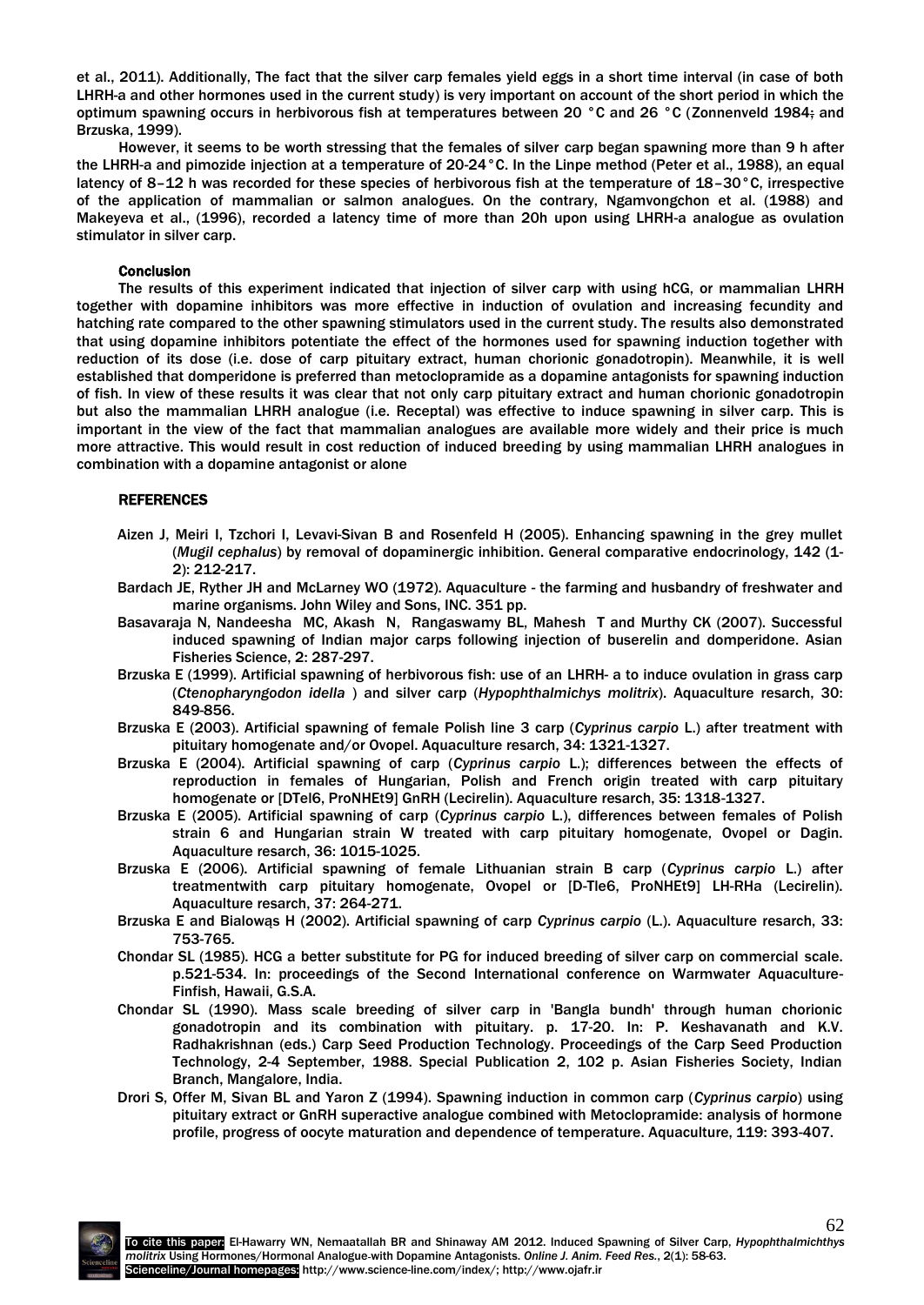et al., 2011). Additionally, The fact that the silver carp females yield eggs in a short time interval (in case of both LHRH-a and other hormones used in the current study) is very important on account of the short period in which the optimum spawning occurs in herbivorous fish at temperatures between 20 °C and 26 °C [\(Zonnenveld 1984;](http://onlinelibrary.wiley.com.ezproxy.lib.ucalgary.ca/doi/10.1046/j.1365-2109.1999.00413.x/full#b26) and Brzuska, 1999).

However, it seems to be worth stressing that the females of silver carp began spawning more than 9 h after the LHRH-a and pimozide injection at a temperature of 20-24°C. In the Linpe method [\(Peter et al., 1988\)](http://onlinelibrary.wiley.com.ezproxy.lib.ucalgary.ca/doi/10.1046/j.1365-2109.1999.00413.x/full#b7), an equal latency of 8–12 h was recorded for these species of herbivorous fish at the temperature of 18–30 °C, irrespective of the application of mammalian or salmon analogues. On the contrary, Ngamvongchon et al. (1988) and [Makeyeva et al., \(1996\),](http://onlinelibrary.wiley.com.ezproxy.lib.ucalgary.ca/doi/10.1046/j.1365-2109.1999.00413.x/full#b14) recorded a latency time of more than 20h upon using LHRH-a analogue as ovulation stimulator in silver carp.

# **Conclusion**

The results of this experiment indicated that injection of silver carp with using hCG, or mammalian LHRH together with dopamine inhibitors was more effective in induction of ovulation and increasing fecundity and hatching rate compared to the other spawning stimulators used in the current study. The results also demonstrated that using dopamine inhibitors potentiate the effect of the hormones used for spawning induction together with reduction of its dose (i.e. dose of carp pituitary extract, human chorionic gonadotropin). Meanwhile, it is well established that domperidone is preferred than metoclopramide as a dopamine antagonists for spawning induction of fish. In view of these results it was clear that not only carp pituitary extract and human chorionic gonadotropin but also the mammalian LHRH analogue (i.e. Receptal) was effective to induce spawning in silver carp. This is important in the view of the fact that mammalian analogues are available more widely and their price is much more attractive. This would result in cost reduction of induced breeding by using mammalian LHRH analogues in combination with a dopamine antagonist or alone

#### REFERENCES

- Aizen J, Meiri I, Tzchori I, Levavi-Sivan B and Rosenfeld H (2005). Enhancing spawning in the grey mullet (*Mugil cephalus*) by removal of dopaminergic inhibition. General comparative endocrinology, 142 (1- 2): 212-217.
- Bardach JE, Ryther JH and McLarney WO (1972). Aquaculture the farming and husbandry of freshwater and marine organisms. John Wiley and Sons, INC. 351 pp.
- Basavaraja N, Nandeesha MC, Akash N, Rangaswamy BL, Mahesh T and Murthy CK (2007). Successful induced spawning of Indian major carps following injection of buserelin and domperidone. Asian Fisheries Science, 2: 287-297.
- Brzuska E (1999). Artificial spawning of herbivorous fish: use of an LHRH- a to induce ovulation in grass carp (*Ctenopharyngodon idella* ) and silver carp (*Hypophthalmichys molitrix*). Aquaculture resarch, 30: 849-856.
- Brzuska E (2003). Artificial spawning of female Polish line 3 carp (*Cyprinus carpio* L.) after treatment with pituitary homogenate and/or Ovopel. Aquaculture resarch, 34: 1321-1327.
- Brzuska E (2004). Artificial spawning of carp (*Cyprinus carpio* L.); differences between the effects of reproduction in females of Hungarian, Polish and French origin treated with carp pituitary homogenate or [DTel6, ProNHEt9] GnRH (Lecirelin). Aquaculture resarch, 35: 1318-1327.
- Brzuska E (2005). Artificial spawning of carp (*Cyprinus carpio* L.), differences between females of Polish strain 6 and Hungarian strain W treated with carp pituitary homogenate, Ovopel or Dagin. Aquaculture resarch, 36: 1015-1025.
- Brzuska E (2006). Artificial spawning of female Lithuanian strain B carp (*Cyprinus carpio* L.) after treatmentwith carp pituitary homogenate, Ovopel or [D-Tle6, ProNHEt9] LH-RHa (Lecirelin). Aquaculture resarch, 37: 264-271.
- Brzuska E and Bialowąs H (2002). Artificial spawning of carp *Cyprinus carpio* (L.). Aquaculture resarch, 33: 753-765.
- Chondar SL (1985). HCG a better substitute for PG for induced breeding of silver carp on commercial scale. p.521-534. In: proceedings of the Second International conference on Warmwater Aquaculture-Finfish, Hawaii, G.S.A.
- Chondar SL (1990). Mass scale breeding of silver carp in 'Bangla bundh' through human chorionic gonadotropin and its combination with pituitary. p. 17-20. In: P. Keshavanath and K.V. Radhakrishnan (eds.) Carp Seed Production Technology. Proceedings of the Carp Seed Production Technology, 2-4 September, 1988. Special Publication 2, 102 p. Asian Fisheries Society, Indian Branch, Mangalore, India.
- Drori S, Offer M, Sivan BL and Yaron Z (1994). Spawning induction in common carp (*Cyprinus carpio*) using pituitary extract or GnRH superactive analogue combined with Metoclopramide: analysis of hormone profile, progress of oocyte maturation and dependence of temperature. Aquaculture, 119: 393-407.